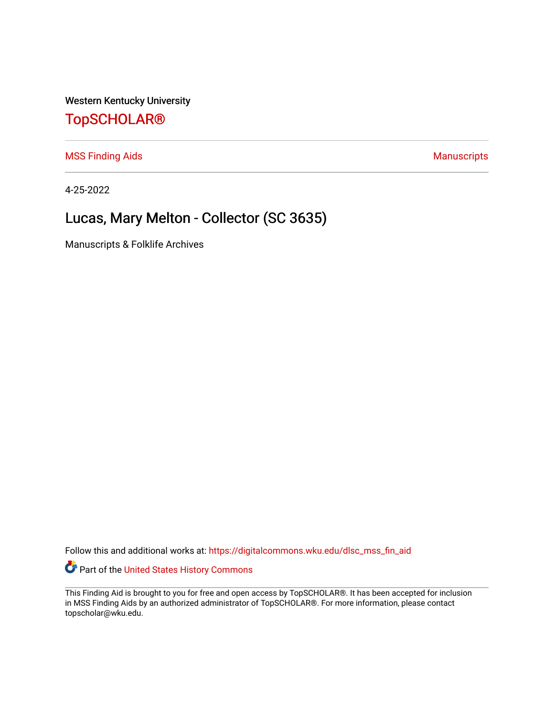Western Kentucky University

## [TopSCHOLAR®](https://digitalcommons.wku.edu/)

[MSS Finding Aids](https://digitalcommons.wku.edu/dlsc_mss_fin_aid) **MSS** Finding Aids **Manuscripts** Manuscripts

4-25-2022

# Lucas, Mary Melton - Collector (SC 3635)

Manuscripts & Folklife Archives

Follow this and additional works at: [https://digitalcommons.wku.edu/dlsc\\_mss\\_fin\\_aid](https://digitalcommons.wku.edu/dlsc_mss_fin_aid?utm_source=digitalcommons.wku.edu%2Fdlsc_mss_fin_aid%2F5006&utm_medium=PDF&utm_campaign=PDFCoverPages) 

Part of the [United States History Commons](http://network.bepress.com/hgg/discipline/495?utm_source=digitalcommons.wku.edu%2Fdlsc_mss_fin_aid%2F5006&utm_medium=PDF&utm_campaign=PDFCoverPages) 

This Finding Aid is brought to you for free and open access by TopSCHOLAR®. It has been accepted for inclusion in MSS Finding Aids by an authorized administrator of TopSCHOLAR®. For more information, please contact topscholar@wku.edu.